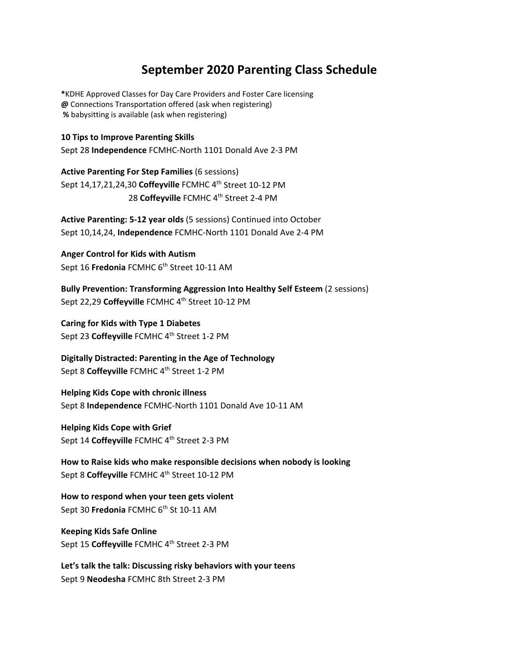## **September 2020 Parenting Class Schedule**

**\***KDHE Approved Classes for Day Care Providers and Foster Care licensing **@** Connections Transportation offered (ask when registering)  **%** babysitting is available (ask when registering)

**10 Tips to Improve Parenting Skills**  Sept 28 **Independence** FCMHC-North 1101 Donald Ave 2-3 PM

**Active Parenting For Step Families** (6 sessions) Sept 14,17,21,24,30 **Coffeyville** FCMHC 4th Street 10-12 PM 28 Coffeyville FCMHC 4<sup>th</sup> Street 2-4 PM

**Active Parenting: 5-12 year olds** (5 sessions) Continued into October Sept 10,14,24, **Independence** FCMHC-North 1101 Donald Ave 2-4 PM

**Anger Control for Kids with Autism**  Sept 16 **Fredonia** FCMHC 6<sup>th</sup> Street 10-11 AM

**Bully Prevention: Transforming Aggression Into Healthy Self Esteem** (2 sessions) Sept 22,29 Coffeyville FCMHC 4<sup>th</sup> Street 10-12 PM

**Caring for Kids with Type 1 Diabetes** Sept 23 **Coffeyville** FCMHC 4th Street 1-2 PM

**Digitally Distracted: Parenting in the Age of Technology**  Sept 8 Coffeyville FCMHC 4<sup>th</sup> Street 1-2 PM

**Helping Kids Cope with chronic illness**  Sept 8 **Independence** FCMHC-North 1101 Donald Ave 10-11 AM

**Helping Kids Cope with Grief** Sept 14 Coffeyville FCMHC 4<sup>th</sup> Street 2-3 PM

**How to Raise kids who make responsible decisions when nobody is looking**  Sept 8 **Coffeyville** FCMHC 4th Street 10-12 PM

**How to respond when your teen gets violent** Sept 30 **Fredonia** FCMHC 6<sup>th</sup> St 10-11 AM

**Keeping Kids Safe Online** Sept 15 Coffeyville FCMHC 4<sup>th</sup> Street 2-3 PM

**Let's talk the talk: Discussing risky behaviors with your teens** Sept 9 **Neodesha** FCMHC 8th Street 2-3 PM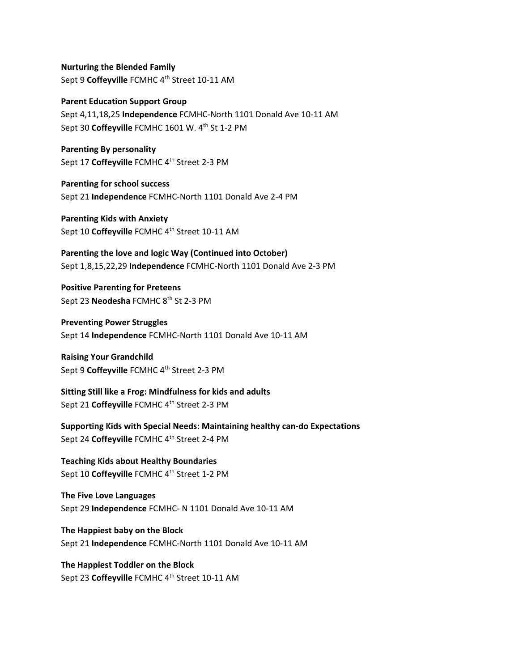**Nurturing the Blended Family** Sept 9 **Coffeyville** FCMHC 4th Street 10-11 AM

**Parent Education Support Group** Sept 4,11,18,25 **Independence** FCMHC-North 1101 Donald Ave 10-11 AM Sept 30 Coffeyville FCMHC 1601 W. 4<sup>th</sup> St 1-2 PM

**Parenting By personality** Sept 17 **Coffeyville** FCMHC 4th Street 2-3 PM

**Parenting for school success**  Sept 21 **Independence** FCMHC-North 1101 Donald Ave 2-4 PM

**Parenting Kids with Anxiety** Sept 10 **Coffeyville** FCMHC 4th Street 10-11 AM

**Parenting the love and logic Way (Continued into October)**  Sept 1,8,15,22,29 **Independence** FCMHC-North 1101 Donald Ave 2-3 PM

**Positive Parenting for Preteens** Sept 23 **Neodesha** FCMHC 8th St 2-3 PM

**Preventing Power Struggles**  Sept 14 **Independence** FCMHC-North 1101 Donald Ave 10-11 AM

**Raising Your Grandchild** Sept 9 **Coffeyville** FCMHC 4th Street 2-3 PM

**Sitting Still like a Frog: Mindfulness for kids and adults** Sept 21 **Coffeyville** FCMHC 4th Street 2-3 PM

**Supporting Kids with Special Needs: Maintaining healthy can-do Expectations** Sept 24 **Coffeyville** FCMHC 4th Street 2-4 PM

**Teaching Kids about Healthy Boundaries** Sept 10 Coffeyville FCMHC 4<sup>th</sup> Street 1-2 PM

**The Five Love Languages** Sept 29 **Independence** FCMHC- N 1101 Donald Ave 10-11 AM

**The Happiest baby on the Block** Sept 21 **Independence** FCMHC-North 1101 Donald Ave 10-11 AM

**The Happiest Toddler on the Block** Sept 23 **Coffeyville** FCMHC 4th Street 10-11 AM